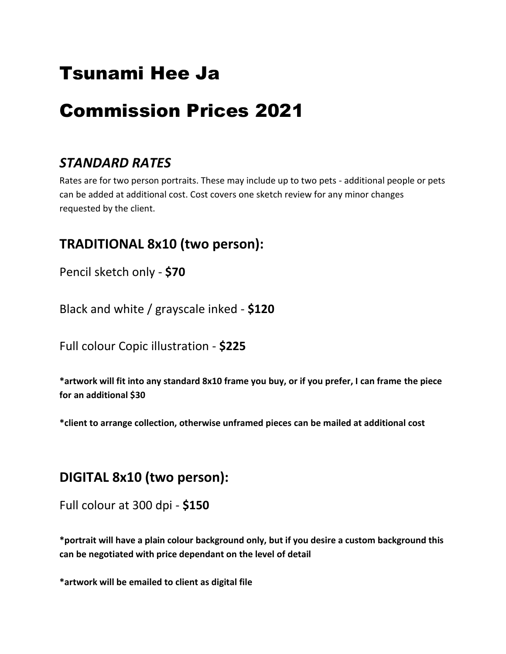## Tsunami Hee Ja

# Commission Prices 2021

### *STANDARD RATES*

Rates are for two person portraits. These may include up to two pets - additional people or pets can be added at additional cost. Cost covers one sketch review for any minor changes requested by the client.

### **TRADITIONAL 8x10 (two person):**

Pencil sketch only - **\$70**

Black and white / grayscale inked - **\$120**

Full colour Copic illustration - **\$225**

**\*artwork will fit into any standard 8x10 frame you buy, or if you prefer, I can frame the piece for an additional \$30**

**\*client to arrange collection, otherwise unframed pieces can be mailed at additional cost**

#### **DIGITAL 8x10 (two person):**

Full colour at 300 dpi - **\$150**

**\*portrait will have a plain colour background only, but if you desire a custom background this can be negotiated with price dependant on the level of detail**

**\*artwork will be emailed to client as digital file**